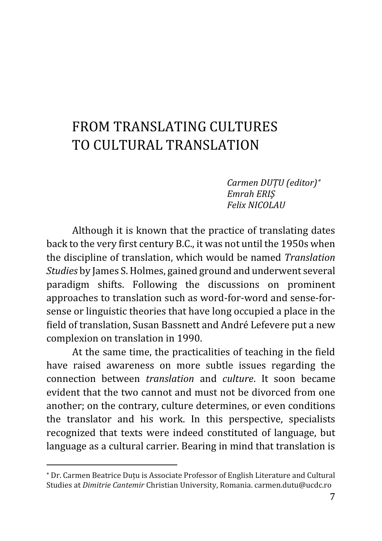## FROM TRANSLATING CIILTURES TO CULTURAL TRANSLATION

*Carmen DUȚU (editor) Emrah ERIŞ Felix NICOLAU*

Although it is known that the practice of translating dates back to the very first century B.C., it was not until the 1950s when the discipline of translation, which would be named *Translation Studies* by James S. Holmes, gained ground and underwent several paradigm shifts. Following the discussions on prominent approaches to translation such as word-for-word and sense-forsense or linguistic theories that have long occupied a place in the field of translation, Susan Bassnett and André Lefevere put a new complexion on translation in 1990.

At the same time, the practicalities of teaching in the field have raised awareness on more subtle issues regarding the connection between *translation* and *culture*. It soon became evident that the two cannot and must not be divorced from one another; on the contrary, culture determines, or even conditions the translator and his work. In this perspective, specialists recognized that texts were indeed constituted of language, but language as a cultural carrier. Bearing in mind that translation is

 $\overline{\phantom{a}}$ 

Dr. Carmen Beatrice Duţu is Associate Professor of English Literature and Cultural Studies at *Dimitrie Cantemir* Christian University, Romania. carmen.dutu@ucdc.ro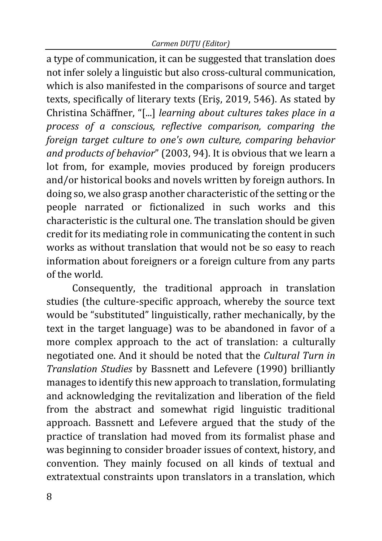a type of communication, it can be suggested that translation does not infer solely a linguistic but also cross-cultural communication, which is also manifested in the comparisons of source and target texts, specifically of literary texts (Eriş, 2019, 546). As stated by Christina Schäffner, "[...] *learning about cultures takes place in a process of a conscious, reflective comparison, comparing the foreign target culture to one's own culture, comparing behavior and products of behavior*" (2003, 94). It is obvious that we learn a lot from, for example, movies produced by foreign producers and/or historical books and novels written by foreign authors. In doing so, we also grasp another characteristic of the setting or the people narrated or fictionalized in such works and this characteristic is the cultural one. The translation should be given credit for its mediating role in communicating the content in such works as without translation that would not be so easy to reach information about foreigners or a foreign culture from any parts of the world.

Consequently, the traditional approach in translation studies (the culture-specific approach, whereby the source text would be "substituted" linguistically, rather mechanically, by the text in the target language) was to be abandoned in favor of a more complex approach to the act of translation: a culturally negotiated one. And it should be noted that the *Cultural Turn in Translation Studies* by Bassnett and Lefevere (1990) brilliantly manages to identify this new approach to translation, formulating and acknowledging the revitalization and liberation of the field from the abstract and somewhat rigid linguistic traditional approach. Bassnett and Lefevere argued that the study of the practice of translation had moved from its formalist phase and was beginning to consider broader issues of context, history, and convention. They mainly focused on all kinds of textual and extratextual constraints upon translators in a translation, which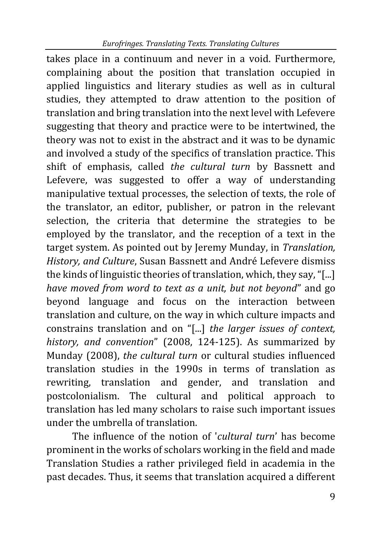takes place in a continuum and never in a void. Furthermore, complaining about the position that translation occupied in applied linguistics and literary studies as well as in cultural studies, they attempted to draw attention to the position of translation and bring translation into the next level with Lefevere suggesting that theory and practice were to be intertwined, the theory was not to exist in the abstract and it was to be dynamic and involved a study of the specifics of translation practice. This shift of emphasis, called *the cultural turn* by Bassnett and Lefevere, was suggested to offer a way of understanding manipulative textual processes, the selection of texts, the role of the translator, an editor, publisher, or patron in the relevant selection, the criteria that determine the strategies to be employed by the translator, and the reception of a text in the target system. As pointed out by Jeremy Munday, in *Translation, History, and Culture*, Susan Bassnett and André Lefevere dismiss the kinds of linguistic theories of translation, which, they say, "[...] *have moved from word to text as a unit, but not beyond*" and go beyond language and focus on the interaction between translation and culture, on the way in which culture impacts and constrains translation and on "[...] *the larger issues of context, history, and convention*" (2008, 124-125). As summarized by Munday (2008), *the cultural turn* or cultural studies influenced translation studies in the 1990s in terms of translation as rewriting, translation and gender, and translation and postcolonialism. The cultural and political approach to translation has led many scholars to raise such important issues under the umbrella of translation.

The influence of the notion of '*cultural turn*' has become prominent in the works of scholars working in the field and made Translation Studies a rather privileged field in academia in the past decades. Thus, it seems that translation acquired a different